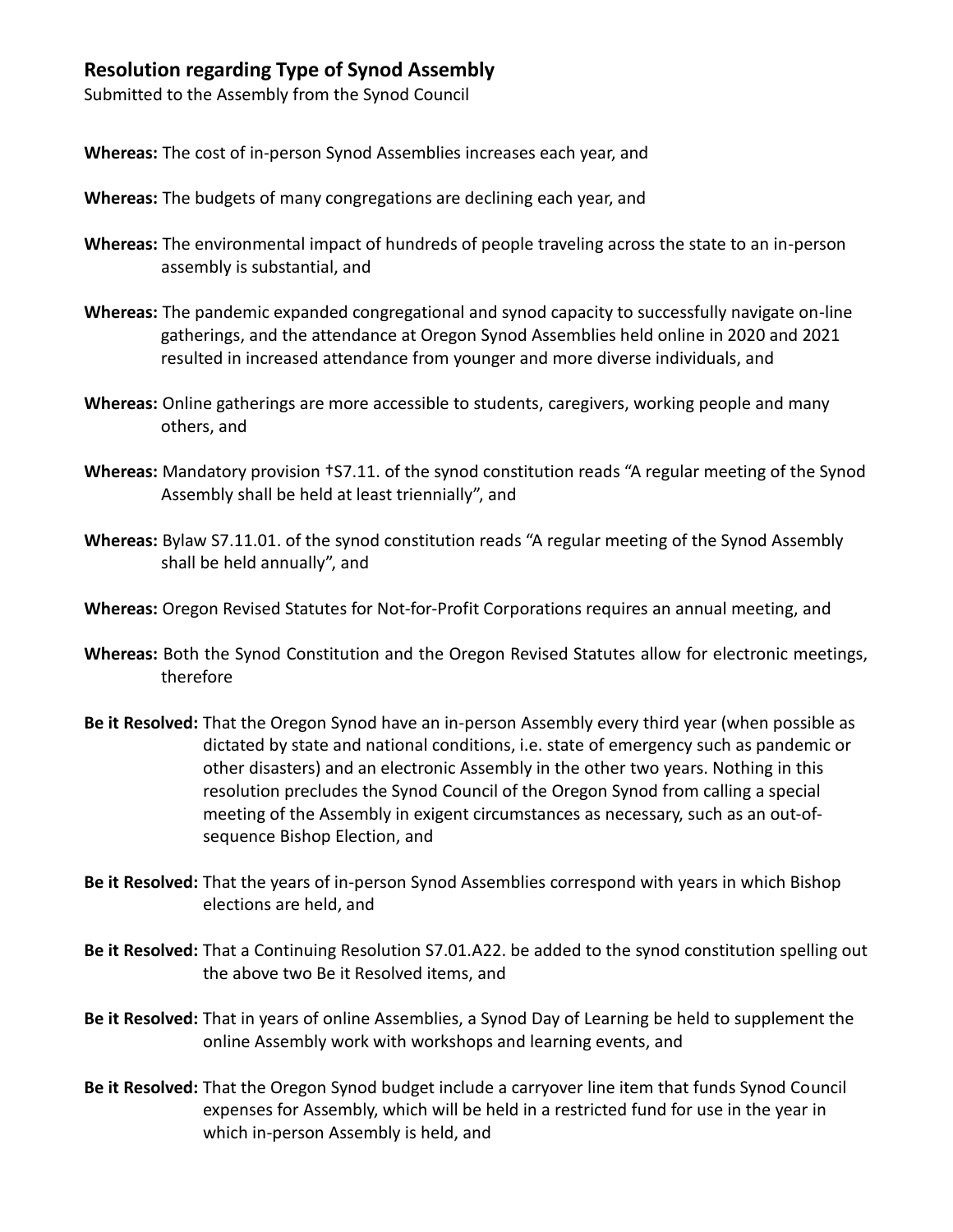## **Resolution regarding Type of Synod Assembly**

Submitted to the Assembly from the Synod Council

**Whereas:** The cost of in-person Synod Assemblies increases each year, and

- **Whereas:** The budgets of many congregations are declining each year, and
- **Whereas:** The environmental impact of hundreds of people traveling across the state to an in-person assembly is substantial, and
- **Whereas:** The pandemic expanded congregational and synod capacity to successfully navigate on-line gatherings, and the attendance at Oregon Synod Assemblies held online in 2020 and 2021 resulted in increased attendance from younger and more diverse individuals, and
- **Whereas:** Online gatherings are more accessible to students, caregivers, working people and many others, and
- **Whereas:** Mandatory provision †S7.11. of the synod constitution reads "A regular meeting of the Synod Assembly shall be held at least triennially", and
- **Whereas:** Bylaw S7.11.01. of the synod constitution reads "A regular meeting of the Synod Assembly shall be held annually", and
- **Whereas:** Oregon Revised Statutes for Not-for-Profit Corporations requires an annual meeting, and
- **Whereas:** Both the Synod Constitution and the Oregon Revised Statutes allow for electronic meetings, therefore
- **Be it Resolved:** That the Oregon Synod have an in-person Assembly every third year (when possible as dictated by state and national conditions, i.e. state of emergency such as pandemic or other disasters) and an electronic Assembly in the other two years. Nothing in this resolution precludes the Synod Council of the Oregon Synod from calling a special meeting of the Assembly in exigent circumstances as necessary, such as an out-ofsequence Bishop Election, and
- **Be it Resolved:** That the years of in-person Synod Assemblies correspond with years in which Bishop elections are held, and
- **Be it Resolved:** That a Continuing Resolution S7.01.A22. be added to the synod constitution spelling out the above two Be it Resolved items, and
- **Be it Resolved:** That in years of online Assemblies, a Synod Day of Learning be held to supplement the online Assembly work with workshops and learning events, and
- **Be it Resolved:** That the Oregon Synod budget include a carryover line item that funds Synod Council expenses for Assembly, which will be held in a restricted fund for use in the year in which in-person Assembly is held, and